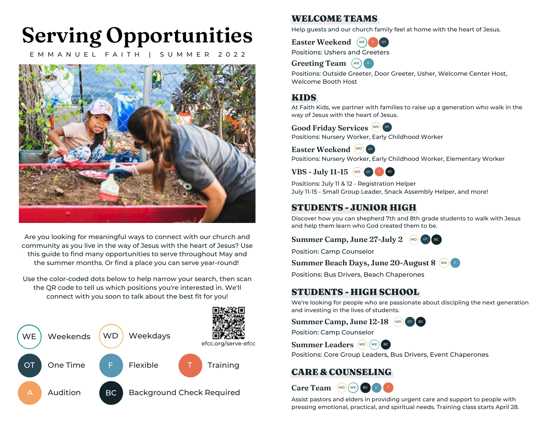# **Serving Opportunities**

E M M A N U E L F A I T H | S U M M E R 2 0 2 2



Are you looking for meaningful ways to connect with our church and community as you live in the way of Jesus with the heart of Jesus? Use this guide to find many opportunities to serve throughout May and the summer months. Or find a place you can serve year-round!

Use the color-coded dots below to help narrow your search, then scan the QR code to tell us which positions you're interested in. We'll connect with you soon to talk about the best fit for you!



#### WELCOME TEAMS

Help guests and our church family feel at home with the heart of Jesus.



Positions: Ushers and Greeters



Positions: Outside Greeter, Door Greeter, Usher, Welcome Center Host, Welcome Booth Host

#### KIDS

At Faith Kids, we partner with families to raise up a generation who walk in the way of Jesus with the heart of Jesus.



Positions: Nursery Worker, Early Childhood Worker

**Easter Weekend** (WD) OT

Positions: Nursery Worker, Early Childhood Worker, Elementary Worker

**VBS** - **July** 11-15 (WD) OT **T** BC

Positions: July 11 & 12 - Registration Helper July 11-15 - Small Group Leader, Snack Assembly Helper, and more!

### STUDENTS - JUNIOR HIGH

Discover how you can shepherd 7th and 8th grade students to walk with Jesus and help them learn who God created them to be.

**Summer Camp, June 27-July 2** (WD) OT BC



Position: Camp Counselor

**Summer Beach Days, June 20-August 8** F WD

Positions: Bus Drivers, Beach Chaperones

## STUDENTS - HIGH SCHOOL

We're looking for people who are passionate about discipling the next generation and investing in the lives of students.

Position: Camp Counselor **Summer Camp, June 12-18** (WD) OT BC



Positions: Core Group Leaders, Bus Drivers, Event Chaperones

# CARE & COUNSELING



Assist pastors and elders in providing urgent care and support to people with pressing emotional, practical, and spiritual needs. Training class starts April 28.